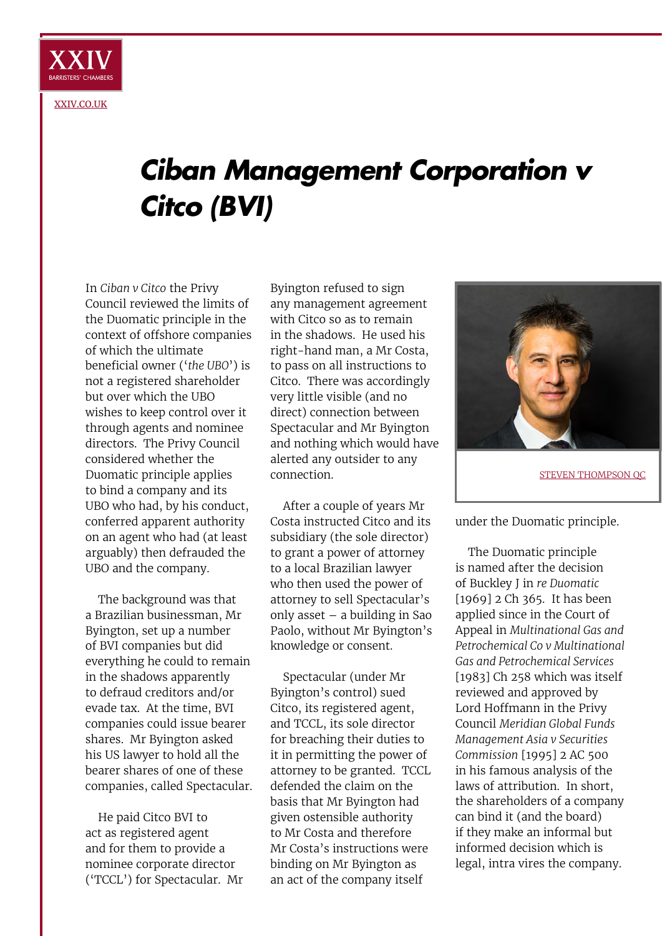

## *Ciban Management Corporation v Citco (BVI)*

In *Ciban v Citco* the Privy Council reviewed the limits of the Duomatic principle in the context of offshore companies of which the ultimate beneficial owner ('*the UBO*') is not a registered shareholder but over which the UBO wishes to keep control over it through agents and nominee directors. The Privy Council considered whether the Duomatic principle applies to bind a company and its UBO who had, by his conduct, conferred apparent authority on an agent who had (at least arguably) then defrauded the UBO and the company.

The background was that a Brazilian businessman, Mr Byington, set up a number of BVI companies but did everything he could to remain in the shadows apparently to defraud creditors and/or evade tax. At the time, BVI companies could issue bearer shares. Mr Byington asked his US lawyer to hold all the bearer shares of one of these companies, called Spectacular.

He paid Citco BVI to act as registered agent and for them to provide a nominee corporate director ('TCCL') for Spectacular. Mr

Byington refused to sign any management agreement with Citco so as to remain in the shadows. He used his right-hand man, a Mr Costa, to pass on all instructions to Citco. There was accordingly very little visible (and no direct) connection between Spectacular and Mr Byington and nothing which would have alerted any outsider to any connection.

After a couple of years Mr Costa instructed Citco and its subsidiary (the sole director) to grant a power of attorney to a local Brazilian lawyer who then used the power of attorney to sell Spectacular's only asset – a building in Sao Paolo, without Mr Byington's knowledge or consent.

Spectacular (under Mr Byington's control) sued Citco, its registered agent, and TCCL, its sole director for breaching their duties to it in permitting the power of attorney to be granted. TCCL defended the claim on the basis that Mr Byington had given ostensible authority to Mr Costa and therefore Mr Costa's instructions were binding on Mr Byington as an act of the company itself



under the Duomatic principle.

The Duomatic principle is named after the decision of Buckley J in *re Duomatic* [1969] 2 Ch 365. It has been applied since in the Court of Appeal in *Multinational Gas and Petrochemical Co v Multinational Gas and Petrochemical Services* [1983] Ch 258 which was itself reviewed and approved by Lord Hoffmann in the Privy Council *Meridian Global Funds Management Asia v Securities Commission* [1995] 2 AC 500 in his famous analysis of the laws of attribution. In short, the shareholders of a company can bind it (and the board) if they make an informal but informed decision which is legal, intra vires the company.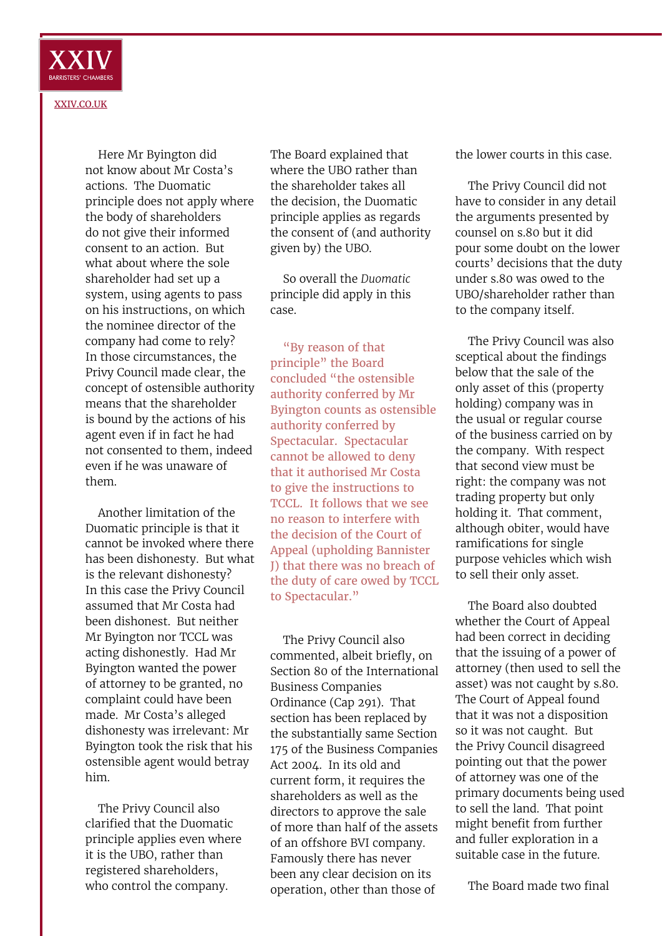

[XXIV.CO.UK](http://xxiv.co.uk)

Here Mr Byington did not know about Mr Costa's actions. The Duomatic principle does not apply where the body of shareholders do not give their informed consent to an action. But what about where the sole shareholder had set up a system, using agents to pass on his instructions, on which the nominee director of the company had come to rely? In those circumstances, the Privy Council made clear, the concept of ostensible authority means that the shareholder is bound by the actions of his agent even if in fact he had not consented to them, indeed even if he was unaware of them.

Another limitation of the Duomatic principle is that it cannot be invoked where there has been dishonesty. But what is the relevant dishonesty? In this case the Privy Council assumed that Mr Costa had been dishonest. But neither Mr Byington nor TCCL was acting dishonestly. Had Mr Byington wanted the power of attorney to be granted, no complaint could have been made. Mr Costa's alleged dishonesty was irrelevant: Mr Byington took the risk that his ostensible agent would betray him.

The Privy Council also clarified that the Duomatic principle applies even where it is the UBO, rather than registered shareholders, who control the company.

The Board explained that where the UBO rather than the shareholder takes all the decision, the Duomatic principle applies as regards the consent of (and authority given by) the UBO.

So overall the *Duomatic* principle did apply in this case.

"By reason of that principle" the Board concluded "the ostensible authority conferred by Mr Byington counts as ostensible authority conferred by Spectacular. Spectacular cannot be allowed to deny that it authorised Mr Costa to give the instructions to TCCL. It follows that we see no reason to interfere with the decision of the Court of Appeal (upholding Bannister J) that there was no breach of the duty of care owed by TCCL to Spectacular."

The Privy Council also commented, albeit briefly, on Section 80 of the International Business Companies Ordinance (Cap 291). That section has been replaced by the substantially same Section 175 of the Business Companies Act 2004. In its old and current form, it requires the shareholders as well as the directors to approve the sale of more than half of the assets of an offshore BVI company. Famously there has never been any clear decision on its operation, other than those of

the lower courts in this case.

The Privy Council did not have to consider in any detail the arguments presented by counsel on s.80 but it did pour some doubt on the lower courts' decisions that the duty under s.80 was owed to the UBO/shareholder rather than to the company itself.

The Privy Council was also sceptical about the findings below that the sale of the only asset of this (property holding) company was in the usual or regular course of the business carried on by the company. With respect that second view must be right: the company was not trading property but only holding it. That comment, although obiter, would have ramifications for single purpose vehicles which wish to sell their only asset.

The Board also doubted whether the Court of Appeal had been correct in deciding that the issuing of a power of attorney (then used to sell the asset) was not caught by s.80. The Court of Appeal found that it was not a disposition so it was not caught. But the Privy Council disagreed pointing out that the power of attorney was one of the primary documents being used to sell the land. That point might benefit from further and fuller exploration in a suitable case in the future.

The Board made two final